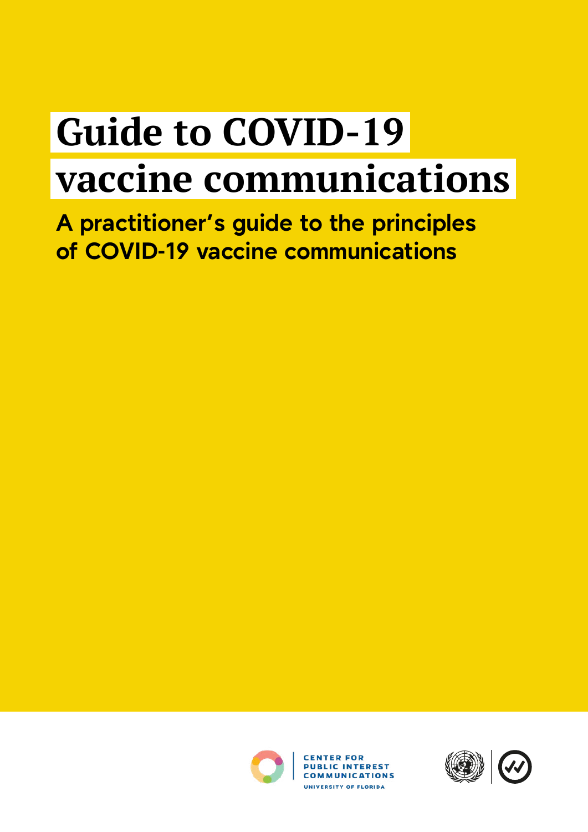# **Guide to COVID-19 vaccine communications**

**A practitioner's guide to the principles of COVID-19 vaccine communications**



**CENTER FOR PUBLIC INTEREST COMMUNICATIONS** UNIVERSITY OF FLORIDA

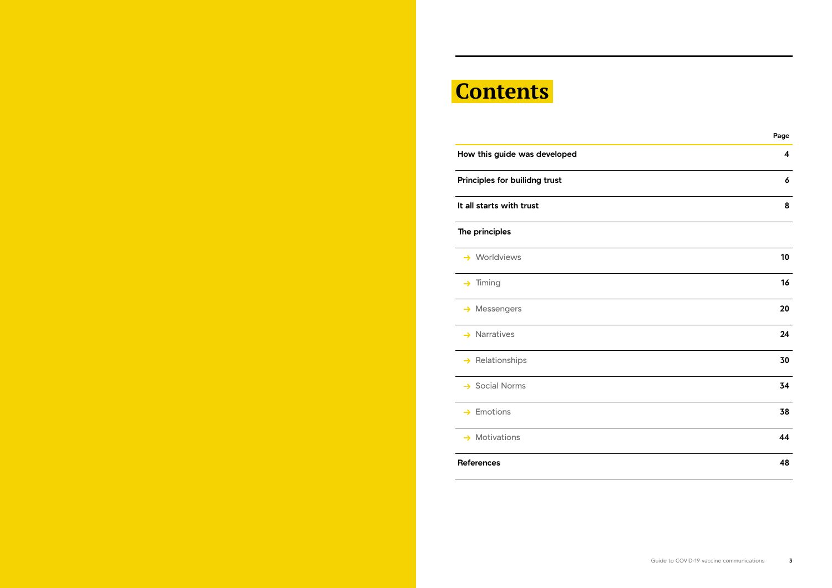# **Contents**

**How this guide was developed 4 Principles for builidng trust 6 It all starts with trust 8 The principles → Worldviews → Messengers → Narratives** → Relationships **→ Social Norms** → Emotions

**→ Motivations** 

|                            | Page             |
|----------------------------|------------------|
| w this guide was developed | $\boldsymbol{4}$ |
| iciples for builidng trust | 6                |
| Il starts with trust       | 8                |
| principles                 |                  |
| Worldviews                 | 10               |
| Timing                     | 16               |
| Messengers                 | 20               |
| <b>Narratives</b>          | 24               |
| Relationships              | 30               |
| <b>Social Norms</b>        | 34               |
| Emotions                   | 38               |
| <b>Motivations</b>         | 44               |
| erences                    | 48               |
|                            |                  |

**References 48**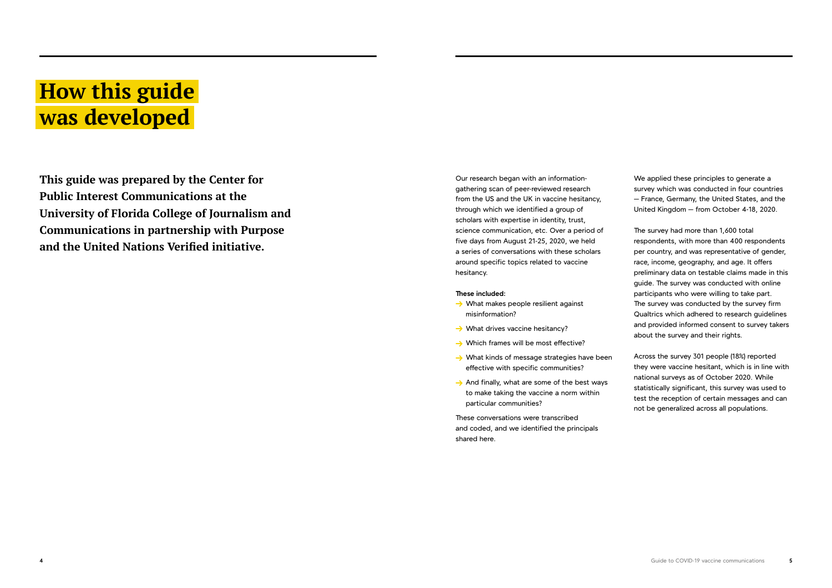# **How this guide was developed**

**This guide was prepared by the Center for Public Interest Communications at the University of Florida College of Journalism and Communications in partnership with Purpose and the United Nations Verified initiative.** 

Our research began with an informationgathering scan of peer-reviewed research from the US and the UK in vaccine hesitancy, through which we identified a group of scholars with expertise in identity, trust, science communication, etc. Over a period of five days from August 21-25, 2020, we held a series of conversations with these scholars around specific topics related to vaccine hesitancy.

- $\rightarrow$  What makes people resilient against misinformation?
- $\rightarrow$  What drives vaccine hesitancy?
- $\rightarrow$  Which frames will be most effective?
- $\rightarrow$  What kinds of message strategies have been effective with specific communities?
- $\rightarrow$  And finally, what are some of the best ways to make taking the vaccine a norm within particular communities?

### **These included:**

These conversations were transcribed and coded, and we identified the principals shared here.

We applied these principles to generate a survey which was conducted in four countries — France, Germany, the United States, and the United Kingdom — from October 4-18, 2020.

The survey had more than 1,600 total respondents, with more than 400 respondents per country, and was representative of gender, race, income, geography, and age. It offers preliminary data on testable claims made in this guide. The survey was conducted with online participants who were willing to take part. The survey was conducted by the survey firm Qualtrics which adhered to research guidelines and provided informed consent to survey takers about the survey and their rights.

Across the survey 301 people (18%) reported they were vaccine hesitant, which is in line with national surveys as of October 2020. While statistically significant, this survey was used to test the reception of certain messages and can not be generalized across all populations.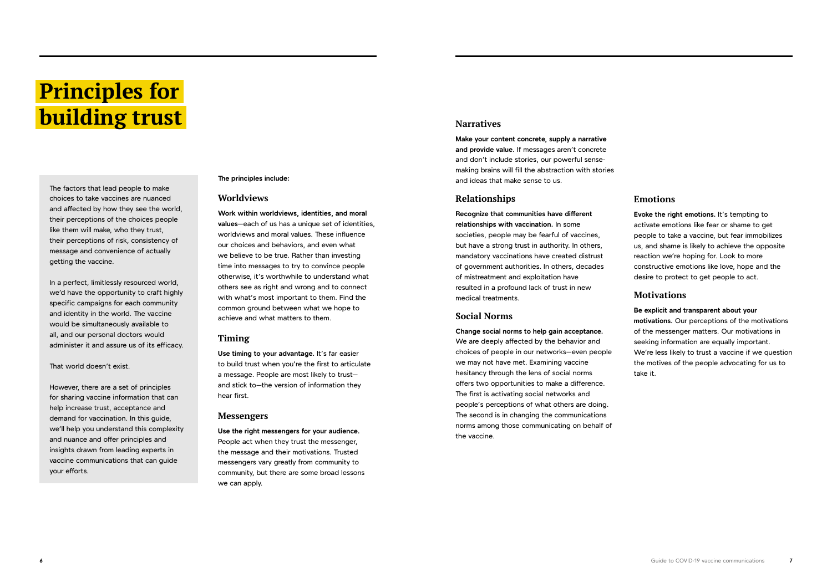**The principles include:**

### **Worldviews**

**Work within worldviews, identities, and moral values**—each of us has a unique set of identities, worldviews and moral values. These influence our choices and behaviors, and even what we believe to be true. Rather than investing time into messages to try to convince people otherwise, it's worthwhile to understand what others see as right and wrong and to connect with what's most important to them. Find the common ground between what we hope to achieve and what matters to them.

### **Timing**

**Use timing to your advantage.** It's far easier to build trust when you're the first to articulate a message. People are most likely to trust and stick to—the version of information they hear first.

### **Messengers**

**Use the right messengers for your audience.** People act when they trust the messenger, the message and their motivations. Trusted messengers vary greatly from community to community, but there are some broad lessons we can apply.

### **Narratives**

**Make your content concrete, supply a narrative and provide value.** If messages aren't concrete and don't include stories, our powerful sensemaking brains will fill the abstraction with stories and ideas that make sense to us.

### **Relationships**

**Recognize that communities have different relationships with vaccination.** In some societies, people may be fearful of vaccines, but have a strong trust in authority. In others, mandatory vaccinations have created distrust of government authorities. In others, decades of mistreatment and exploitation have resulted in a profound lack of trust in new medical treatments.

### **Social Norms**

**Change social norms to help gain acceptance.** We are deeply affected by the behavior and choices of people in our networks—even people we may not have met. Examining vaccine hesitancy through the lens of social norms offers two opportunities to make a difference. The first is activating social networks and people's perceptions of what others are doing. The second is in changing the communications norms among those communicating on behalf of the vaccine.

# **Emotions**

**Evoke the right emotions.** It's tempting to activate emotions like fear or shame to get people to take a vaccine, but fear immobilizes us, and shame is likely to achieve the opposite reaction we're hoping for. Look to more constructive emotions like love, hope and the desire to protect to get people to act.

## **Motivations**

### **Be explicit and transparent about your**

**motivations.** Our perceptions of the motivations of the messenger matters. Our motivations in seeking information are equally important. We're less likely to trust a vaccine if we question the motives of the people advocating for us to take it.

# **Principles for building trust**

The factors that lead people to make choices to take vaccines are nuanced and affected by how they see the world, their perceptions of the choices people like them will make, who they trust, their perceptions of risk, consistency of message and convenience of actually getting the vaccine.

In a perfect, limitlessly resourced world, we'd have the opportunity to craft highly specific campaigns for each community and identity in the world. The vaccine would be simultaneously available to all, and our personal doctors would administer it and assure us of its efficacy.

That world doesn't exist.

However, there are a set of principles for sharing vaccine information that can help increase trust, acceptance and demand for vaccination. In this guide, we'll help you understand this complexity and nuance and offer principles and insights drawn from leading experts in vaccine communications that can guide your efforts.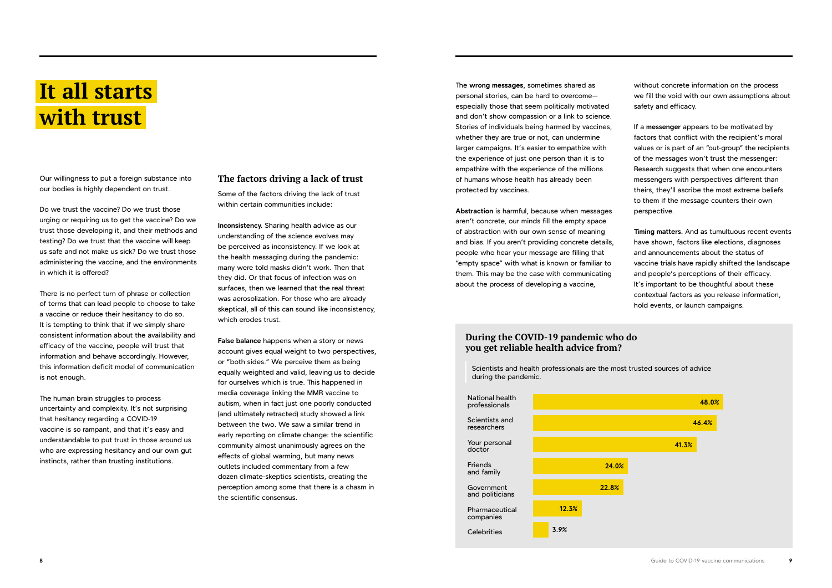## **During the COVID-19 pandemic who do you get reliable health advice from?**

# **It all starts with trust**

Our willingness to put a foreign substance into our bodies is highly dependent on trust.

Do we trust the vaccine? Do we trust those urging or requiring us to get the vaccine? Do we trust those developing it, and their methods and testing? Do we trust that the vaccine will keep us safe and not make us sick? Do we trust those administering the vaccine, and the environments in which it is offered?

There is no perfect turn of phrase or collection of terms that can lead people to choose to take a vaccine or reduce their hesitancy to do so. It is tempting to think that if we simply share consistent information about the availability and efficacy of the vaccine, people will trust that information and behave accordingly. However, this information deficit model of communication is not enough.

The human brain struggles to process uncertainty and complexity. It's not surprising that hesitancy regarding a COVID-19 vaccine is so rampant, and that it's easy and understandable to put trust in those around us who are expressing hesitancy and our own gut instincts, rather than trusting institutions.

## **The factors driving a lack of trust**

Some of the factors driving the lack of trust within certain communities include:

**Inconsistency.** Sharing health advice as our understanding of the science evolves may be perceived as inconsistency. If we look at the health messaging during the pandemic: many were told masks didn't work. Then that they did. Or that focus of infection was on surfaces, then we learned that the real threat was aerosolization. For those who are already skeptical, all of this can sound like inconsistency, which erodes trust.

**False balance** happens when a story or news account gives equal weight to two perspectives, or "both sides." We perceive them as being equally weighted and valid, leaving us to decide for ourselves which is true. This happened in media coverage linking the MMR vaccine to autism, when in fact just one poorly conducted (and ultimately retracted) study showed a link between the two. We saw a similar trend in early reporting on climate change: the scientific community almost unanimously agrees on the effects of global warming, but many news outlets included commentary from a few dozen climate-skeptics scientists, creating the perception among some that there is a chasm in the scientific consensus.

The **wrong messages**, sometimes shared as personal stories, can be hard to overcome especially those that seem politically motivated and don't show compassion or a link to science. Stories of individuals being harmed by vaccines, whether they are true or not, can undermine larger campaigns. It's easier to empathize with the experience of just one person than it is to empathize with the experience of the millions of humans whose health has already been protected by vaccines.

**Abstraction** is harmful, because when messages aren't concrete, our minds fill the empty space of abstraction with our own sense of meaning and bias. If you aren't providing concrete details, people who hear your message are filling that "empty space" with what is known or familiar to them. This may be the case with communicating about the process of developing a vaccine,

without concrete information on the process we fill the void with our own assumptions about safety and efficacy.

If a **messenger** appears to be motivated by factors that conflict with the recipient's moral values or is part of an "out-group" the recipients of the messages won't trust the messenger: Research suggests that when one encounters messengers with perspectives different than theirs, they'll ascribe the most extreme beliefs to them if the message counters their own perspective.

**Timing matters.** And as tumultuous recent events have shown, factors like elections, diagnoses and announcements about the status of vaccine trials have rapidly shifted the landscape and people's perceptions of their efficacy. It's important to be thoughtful about these contextual factors as you release information, hold events, or launch campaigns.

National health professionals Scientists and researchers Your personal doctor **Friends** and family Government and politicians Pharmaceutical companies **Celebrities** Scientists and health professionals are the most trusted sources of advice during the pandemic. **24.0% 22.8% 12.3% 3.9%**

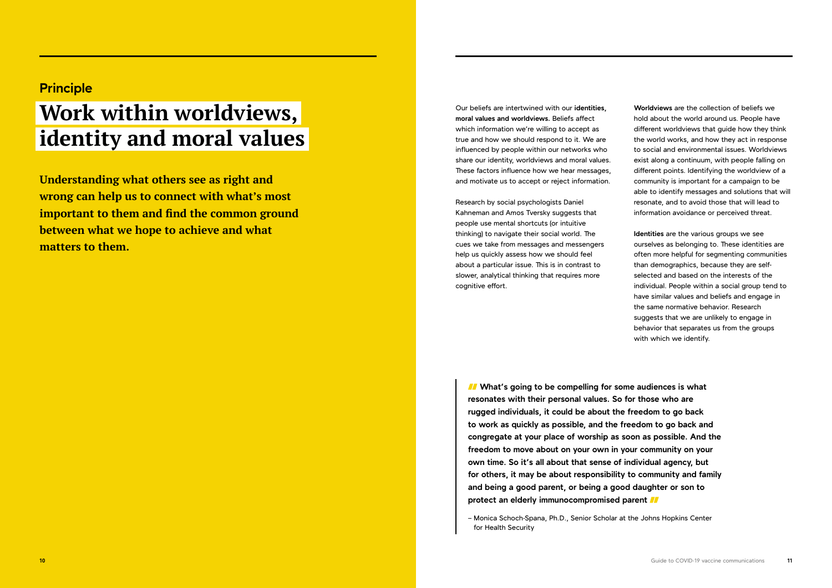**Understanding what others see as right and wrong can help us to connect with what's most important to them and find the common ground between what we hope to achieve and what matters to them.** 

Our beliefs are intertwined with our **identities, moral values and worldviews.** Beliefs affect which information we're willing to accept as true and how we should respond to it. We are influenced by people within our networks who share our identity, worldviews and moral values. These factors influence how we hear messages, and motivate us to accept or reject information.

Research by social psychologists Daniel Kahneman and Amos Tversky suggests that people use mental shortcuts (or intuitive thinking) to navigate their social world. The cues we take from messages and messengers help us quickly assess how we should feel about a particular issue. This is in contrast to slower, analytical thinking that requires more cognitive effort.

**Worldviews** are the collection of beliefs we hold about the world around us. People have different worldviews that guide how they think the world works, and how they act in response to social and environmental issues. Worldviews exist along a continuum, with people falling on different points. Identifying the worldview of a community is important for a campaign to be able to identify messages and solutions that will resonate, and to avoid those that will lead to information avoidance or perceived threat.

*I* What's going to be compelling for some audiences is what **resonates with their personal values. So for those who are rugged individuals, it could be about the freedom to go back to work as quickly as possible, and the freedom to go back and congregate at your place of worship as soon as possible. And the freedom to move about on your own in your community on your own time. So it's all about that sense of individual agency, but for others, it may be about responsibility to community and family and being a good parent, or being a good daughter or son to protect an elderly immunocompromised parent** 

**Identities** are the various groups we see ourselves as belonging to. These identities are often more helpful for segmenting communities than demographics, because they are selfselected and based on the interests of the individual. People within a social group tend to have similar values and beliefs and engage in the same normative behavior. Research suggests that we are unlikely to engage in behavior that separates us from the groups with which we identify.

# **Principle**

# **Work within worldviews, identity and moral values**

– Monica Schoch-Spana, Ph.D., Senior Scholar at the Johns Hopkins Center for Health Security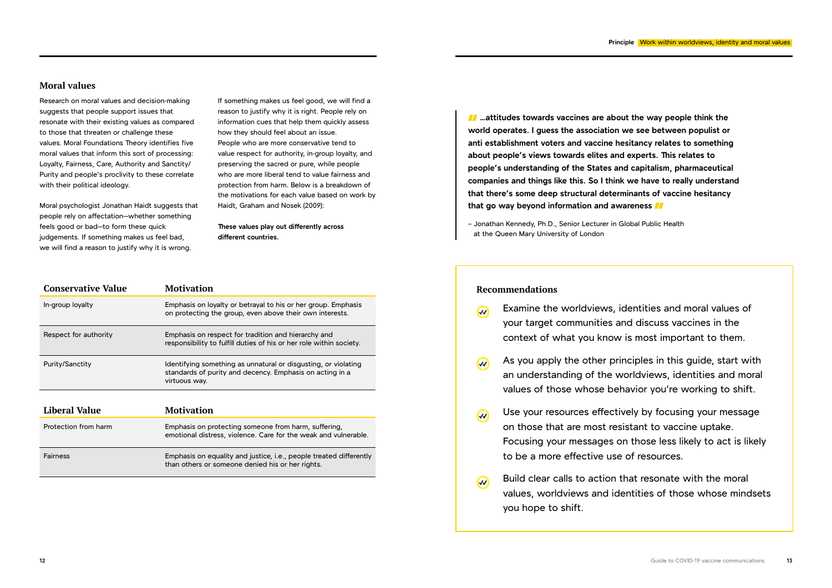### **Moral values**

Research on moral values and decision-making suggests that people support issues that resonate with their existing values as compared to those that threaten or challenge these values. Moral Foundations Theory identifies five moral values that inform this sort of processing: Loyalty, Fairness, Care, Authority and Sanctity/ Purity and people's proclivity to these correlate with their political ideology.

Moral psychologist Jonathan Haidt suggests that people rely on affectation—whether something feels good or bad—to form these quick judgements. If something makes us feel bad, we will find a reason to justify why it is wrong.

If something makes us feel good, we will find a reason to justify why it is right. People rely on information cues that help them quickly assess how they should feel about an issue. People who are more conservative tend to value respect for authority, in-group loyalty, and preserving the sacred or pure, while people who are more liberal tend to value fairness and protection from harm. Below is a breakdown of the motivations for each value based on work by Haidt, Graham and Nosek (2009):

**Conservative Value Motivation** In-group loyalty Emphasis on loyalty or betrayal to his or her group. Emphasis on protecting the group, even above their own interests. Respect for authority Emphasis on respect for tradition and hierarchy and responsibility to fulfill duties of his or her role within society. Purity/Sanctity Identifying something as unnatural or disgusting, or violating standards of purity and decency. Emphasis on acting in a virtuous way. **Liberal Value Motivation** Protection from harm Emphasis on protecting someone from harm, suffering, emotional distress, violence. Care for the weak and vulnerable. Fairness Emphasis on equality and justice, i.e., people treated differently than others or someone denied his or her rights.

**These values play out differently across different countries.**

 **…attitudes towards vaccines are about the way people think the world operates. I guess the association we see between populist or anti establishment voters and vaccine hesitancy relates to something about people's views towards elites and experts. This relates to people's understanding of the States and capitalism, pharmaceutical companies and things like this. So I think we have to really understand that there's some deep structural determinants of vaccine hesitancy that go way beyond information and awareness** 

– Jonathan Kennedy, Ph.D., Senior Lecturer in Global Public Health at the Queen Mary University of London

### **Recommendations**

As you apply the other principles in this guide, start with an understanding of the worldviews, identities and moral values of those whose behavior you're working to shift.

- Examine the worldviews, identities and moral values of  $\omega$ your target communities and discuss vaccines in the context of what you know is most important to them.
- $\omega$
- $\omega$ on those that are most resistant to vaccine uptake. to be a more effective use of resources.
- $\overline{\mathcal{W}}$ you hope to shift.

Use your resources effectively by focusing your message Focusing your messages on those less likely to act is likely

Build clear calls to action that resonate with the moral values, worldviews and identities of those whose mindsets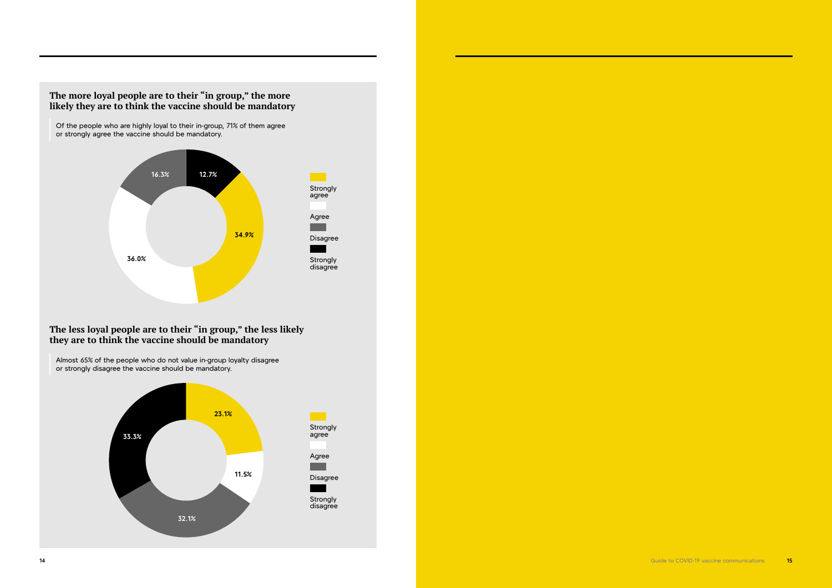

**14** Guide to COVID-19 vaccine communications **15**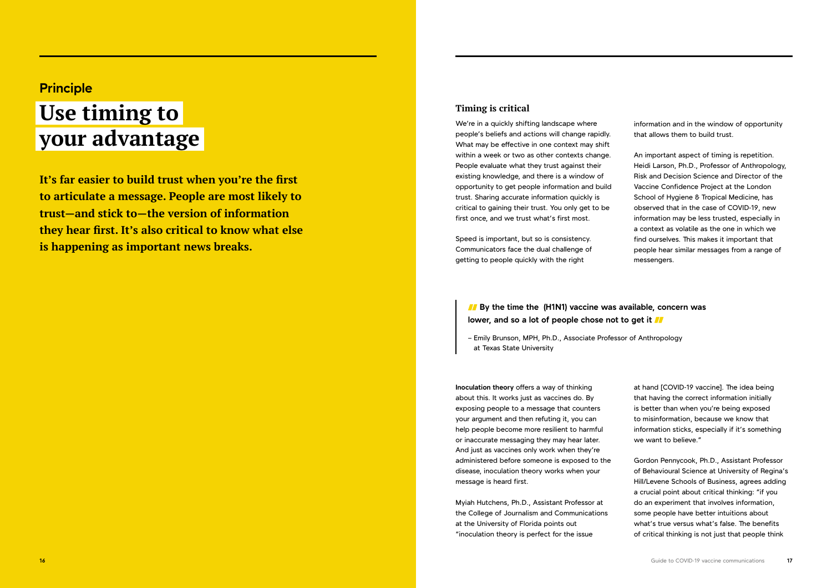**It's far easier to build trust when you're the first to articulate a message. People are most likely to trust—and stick to—the version of information they hear first. It's also critical to know what else is happening as important news breaks.** 

## **Timing is critical**

We're in a quickly shifting landscape where people's beliefs and actions will change rapidly. What may be effective in one context may shift within a week or two as other contexts change. People evaluate what they trust against their existing knowledge, and there is a window of opportunity to get people information and build trust. Sharing accurate information quickly is critical to gaining their trust. You only get to be first once, and we trust what's first most.

Speed is important, but so is consistency. Communicators face the dual challenge of getting to people quickly with the right

**Inoculation theory** offers a way of thinking about this. It works just as vaccines do. By exposing people to a message that counters your argument and then refuting it, you can help people become more resilient to harmful or inaccurate messaging they may hear later. And just as vaccines only work when they're administered before someone is exposed to the disease, inoculation theory works when your message is heard first.

Myiah Hutchens, Ph.D., Assistant Professor at the College of Journalism and Communications at the University of Florida points out "inoculation theory is perfect for the issue

*I* By the time the (H1N1) vaccine was available, concern was **lower, and so a lot of people chose not to get it** 

information and in the window of opportunity that allows them to build trust.

An important aspect of timing is repetition. Heidi Larson, Ph.D., Professor of Anthropology, Risk and Decision Science and Director of the Vaccine Confidence Project at the London School of Hygiene & Tropical Medicine, has observed that in the case of COVID-19, new information may be less trusted, especially in a context as volatile as the one in which we find ourselves. This makes it important that people hear similar messages from a range of messengers.

at hand [COVID-19 vaccine]. The idea being that having the correct information initially is better than when you're being exposed to misinformation, because we know that information sticks, especially if it's something we want to believe."

Gordon Pennycook, Ph.D., Assistant Professor of Behavioural Science at University of Regina's Hill/Levene Schools of Business, agrees adding a crucial point about critical thinking: "if you do an experiment that involves information, some people have better intuitions about what's true versus what's false. The benefits of critical thinking is not just that people think

# **Principle**

# **Use timing to your advantage**

– Emily Brunson, MPH, Ph.D., Associate Professor of Anthropology at Texas State University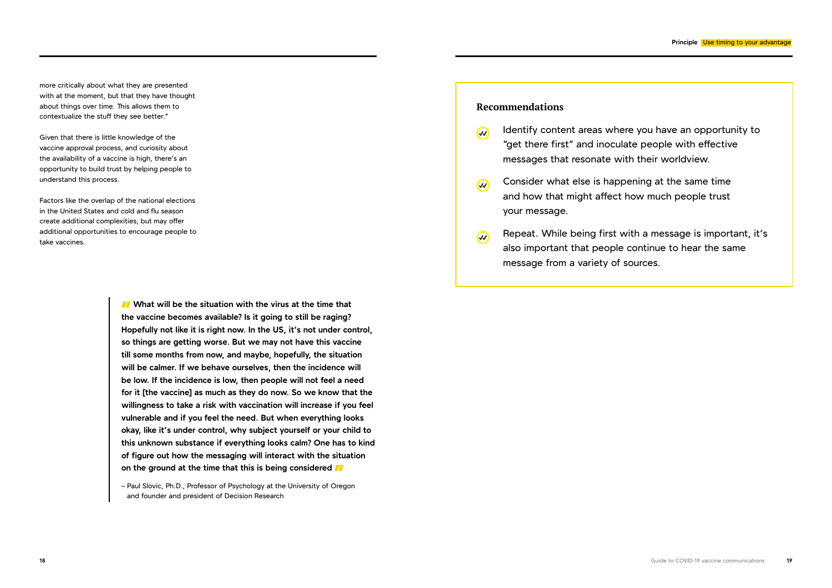*II***</del> What will be the situation with the virus at the time that the vaccine becomes available? Is it going to still be raging? Hopefully not like it is right now. In the US, it's not under control, so things are getting worse. But we may not have this vaccine till some months from now, and maybe, hopefully, the situation will be calmer. If we behave ourselves, then the incidence will be low. If the incidence is low, then people will not feel a need for it [the vaccine] as much as they do now. So we know that the willingness to take a risk with vaccination will increase if you feel vulnerable and if you feel the need. But when everything looks okay, like it's under control, why subject yourself or your child to this unknown substance if everything looks calm? One has to kind of figure out how the messaging will interact with the situation on the ground at the time that this is being considered** 

- $\omega$ "get there first" and inoculate people with effective messages that resonate with their worldview.
- Consider what else is happening at the same time  $\overline{w}$ and how that might affect how much people trust your message.
- $\omega$ also important that people continue to hear the same message from a variety of sources.

– Paul Slovic, Ph.D., Professor of Psychology at the University of Oregon and founder and president of Decision Research

# **Recommendations**

Identify content areas where you have an opportunity to

Repeat. While being first with a message is important, it's

more critically about what they are presented with at the moment, but that they have thought about things over time. This allows them to contextualize the stuff they see better."

Given that there is little knowledge of the vaccine approval process, and curiosity about the availability of a vaccine is high, there's an opportunity to build trust by helping people to understand this process.

Factors like the overlap of the national elections in the United States and cold and flu season create additional complexities, but may offer additional opportunities to encourage people to take vaccines.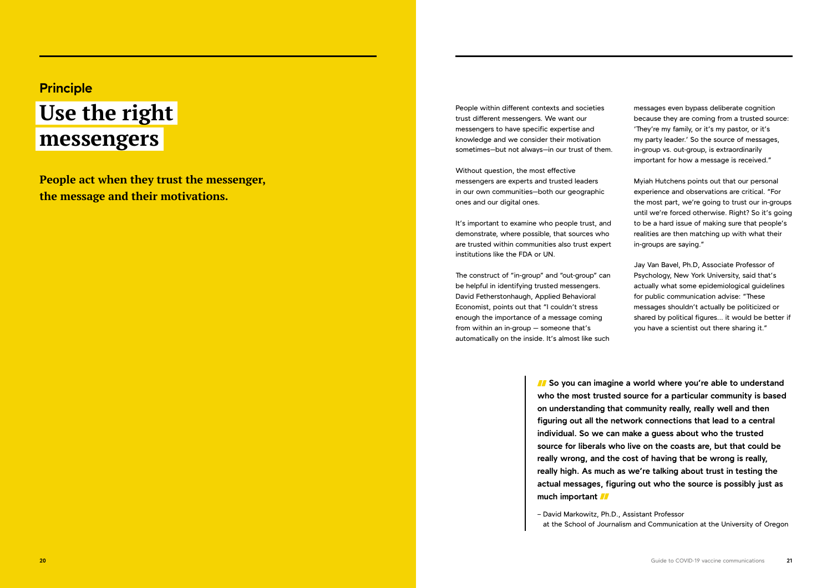**People act when they trust the messenger, the message and their motivations.**

People within different contexts and societies trust different messengers. We want our messengers to have specific expertise and knowledge and we consider their motivation sometimes—but not always—in our trust of them.

Without question, the most effective messengers are experts and trusted leaders in our own communities—both our geographic ones and our digital ones.

It's important to examine who people trust, and demonstrate, where possible, that sources who are trusted within communities also trust expert institutions like the FDA or UN.

The construct of "in-group" and "out-group" can be helpful in identifying trusted messengers. David Fetherstonhaugh, Applied Behavioral Economist, points out that "I couldn't stress enough the importance of a message coming from within an in-group — someone that's automatically on the inside. It's almost like such messages even bypass deliberate cognition because they are coming from a trusted source: 'They're my family, or it's my pastor, or it's my party leader.' So the source of messages, in-group vs. out-group, is extraordinarily important for how a message is received."

*II* So you can imagine a world where you're able to understand **who the most trusted source for a particular community is based on understanding that community really, really well and then figuring out all the network connections that lead to a central individual. So we can make a guess about who the trusted source for liberals who live on the coasts are, but that could be really wrong, and the cost of having that be wrong is really, really high. As much as we're talking about trust in testing the actual messages, figuring out who the source is possibly just as much important** 

Myiah Hutchens points out that our personal experience and observations are critical. "For the most part, we're going to trust our in-groups until we're forced otherwise. Right? So it's going to be a hard issue of making sure that people's realities are then matching up with what their in-groups are saying."

Jay Van Bavel, Ph.D, Associate Professor of Psychology, New York University, said that's actually what some epidemiological guidelines for public communication advise: "These messages shouldn't actually be politicized or shared by political figures... it would be better if you have a scientist out there sharing it."

# **Principle**

# **Use the right messengers**

– David Markowitz, Ph.D., Assistant Professor at the School of Journalism and Communication at the University of Oregon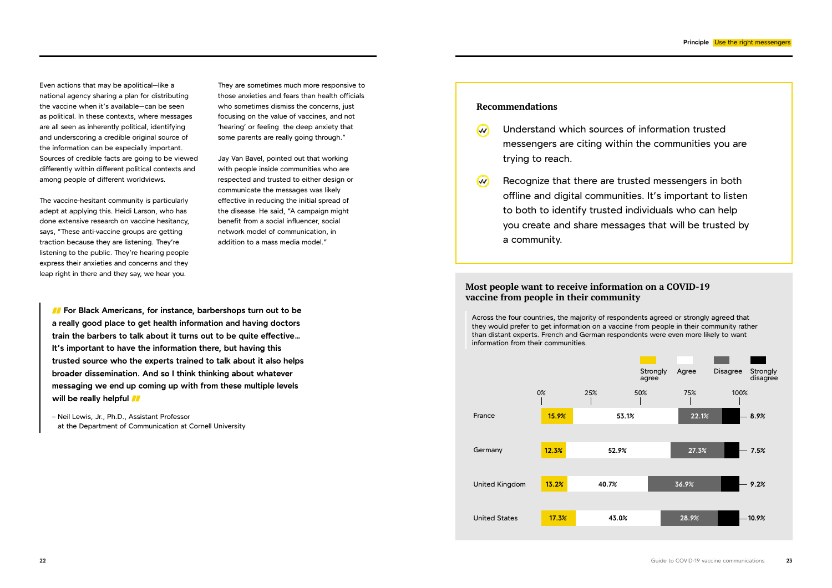Even actions that may be apolitical—like a national agency sharing a plan for distributing the vaccine when it's available—can be seen as political. In these contexts, where messages are all seen as inherently political, identifying and underscoring a credible original source of the information can be especially important. Sources of credible facts are going to be viewed differently within different political contexts and among people of different worldviews.

The vaccine-hesitant community is particularly adept at applying this. Heidi Larson, who has done extensive research on vaccine hesitancy, says, "These anti-vaccine groups are getting traction because they are listening. They're listening to the public. They're hearing people express their anxieties and concerns and they leap right in there and they say, we hear you.

*I* For Black Americans, for instance, barbershops turn out to be **a really good place to get health information and having doctors train the barbers to talk about it turns out to be quite effective… It's important to have the information there, but having this trusted source who the experts trained to talk about it also helps broader dissemination. And so I think thinking about whatever messaging we end up coming up with from these multiple levels will be really helpful** 

They are sometimes much more responsive to those anxieties and fears than health officials who sometimes dismiss the concerns, just focusing on the value of vaccines, and not 'hearing' or feeling the deep anxiety that some parents are really going through."

Jay Van Bavel, pointed out that working with people inside communities who are respected and trusted to either design or communicate the messages was likely effective in reducing the initial spread of the disease. He said, "A campaign might benefit from a social influencer, social network model of communication, in addition to a mass media model."

– Neil Lewis, Jr., Ph.D., Assistant Professor at the Department of Communication at Cornell University

# **Recommendations**

- trying to reach.
- a community.

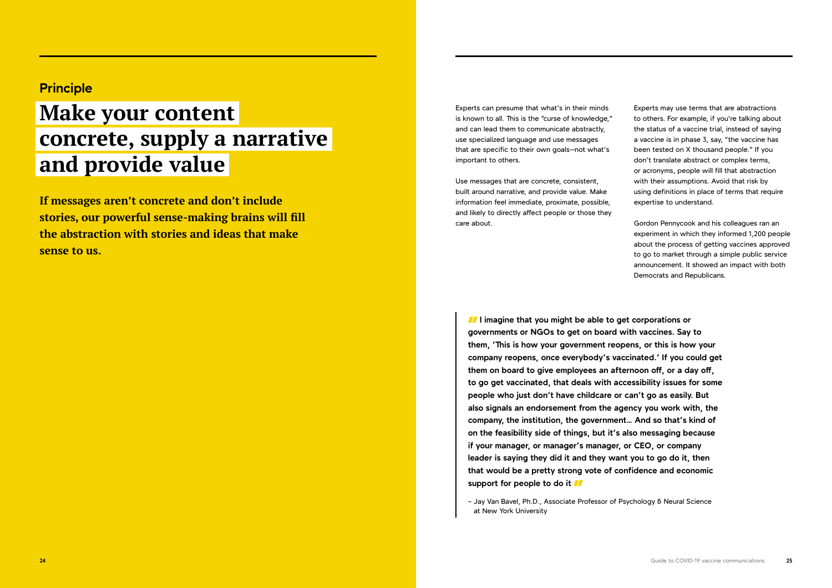**If messages aren't concrete and don't include stories, our powerful sense-making brains will fill the abstraction with stories and ideas that make sense to us.** 

Experts can presume that what's in their minds is known to all. This is the "curse of knowledge," and can lead them to communicate abstractly, use specialized language and use messages that are specific to their own goals—not what's important to others.

Use messages that are concrete, consistent, built around narrative, and provide value. Make information feel immediate, proximate, possible, and likely to directly affect people or those they care about.

Experts may use terms that are abstractions to others. For example, if you're talking about the status of a vaccine trial, instead of saying a vaccine is in phase 3, say, "the vaccine has been tested on X thousand people." If you don't translate abstract or complex terms, or acronyms, people will fill that abstraction with their assumptions. Avoid that risk by using definitions in place of terms that require expertise to understand.

*II* I imagine that you might be able to get corporations or **governments or NGOs to get on board with vaccines. Say to them, 'This is how your government reopens, or this is how your company reopens, once everybody's vaccinated.' If you could get them on board to give employees an afternoon off, or a day off, to go get vaccinated, that deals with accessibility issues for some people who just don't have childcare or can't go as easily. But also signals an endorsement from the agency you work with, the company, the institution, the government… And so that's kind of on the feasibility side of things, but it's also messaging because if your manager, or manager's manager, or CEO, or company leader is saying they did it and they want you to go do it, then that would be a pretty strong vote of confidence and economic support for people to do it** 

Gordon Pennycook and his colleagues ran an experiment in which they informed 1,200 people about the process of getting vaccines approved to go to market through a simple public service announcement. It showed an impact with both Democrats and Republicans.

# **Principle**

# **Make your content concrete, supply a narrative and provide value**

– Jay Van Bavel, Ph.D., Associate Professor of Psychology & Neural Science at New York University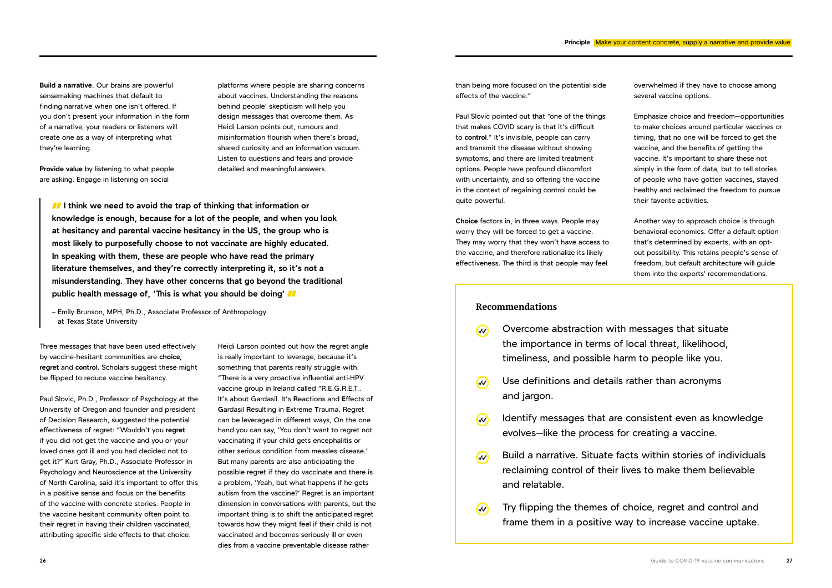**Build a narrative.** Our brains are powerful sensemaking machines that default to finding narrative when one isn't offered. If you don't present your information in the form of a narrative, your readers or listeners will create one as a way of interpreting what they're learning.

**Provide value** by listening to what people are asking. Engage in listening on social

Three messages that have been used effectively by vaccine-hesitant communities are **choice, regret** and **control**. Scholars suggest these might be flipped to reduce vaccine hesitancy.

Paul Slovic, Ph.D., Professor of Psychology at the University of Oregon and founder and president of Decision Research, suggested the potential effectiveness of regret: "Wouldn't you **regret** if you did not get the vaccine and you or your loved ones got ill and you had decided not to get it?" Kurt Gray, Ph.D., Associate Professor in Psychology and Neuroscience at the University of North Carolina, said it's important to offer this in a positive sense and focus on the benefits of the vaccine with concrete stories. People in the vaccine hesitant community often point to their regret in having their children vaccinated, attributing specific side effects to that choice.

than being more focused on the potential side effects of the vaccine."

Paul Slovic pointed out that "one of the things that makes COVID scary is that it's difficult to **control**." It's invisible, people can carry and transmit the disease without showing symptoms, and there are limited treatment options. People have profound discomfort with uncertainty, and so offering the vaccine in the context of regaining control could be quite powerful.

**Choice** factors in, in three ways. People may worry they will be forced to get a vaccine. They may worry that they won't have access to the vaccine, and therefore rationalize its likely effectiveness. The third is that people may feel

platforms where people are sharing concerns about vaccines. Understanding the reasons behind people' skepticism will help you design messages that overcome them. As Heidi Larson points out, rumours and misinformation flourish when there's broad, shared curiosity and an information vacuum. Listen to questions and fears and provide detailed and meaningful answers.

**I** I think we need to avoid the trap of thinking that information or **knowledge is enough, because for a lot of the people, and when you look at hesitancy and parental vaccine hesitancy in the US, the group who is most likely to purposefully choose to not vaccinate are highly educated. In speaking with them, these are people who have read the primary literature themselves, and they're correctly interpreting it, so it's not a misunderstanding. They have other concerns that go beyond the traditional public health message of, 'This is what you should be doing'** 

- Overcome abstraction with messages that situate  $\omega$ the importance in terms of local threat, likelihood, timeliness, and possible harm to people like you.
- Use definitions and details rather than acronyms  $\overline{w}$ and jargon.
- $\omega$ evolves—like the process for creating a vaccine.
- $\omega$ and relatable.
- $\omega$

Heidi Larson pointed out how the regret angle is really important to leverage, because it's something that parents really struggle with. "There is a very proactive influential anti-HPV vaccine group in Ireland called "R.E.G.R.E.T.. It's about Gardasil. It's **R**eactions and **E**ffects of **G**ardasil **R**esulting in **E**xtreme **T**rauma. Regret can be leveraged in different ways, On the one hand you can say, 'You don't want to regret not vaccinating if your child gets encephalitis or other serious condition from measles disease.' But many parents are also anticipating the possible regret if they do vaccinate and there is a problem, 'Yeah, but what happens if he gets autism from the vaccine?' Regret is an important dimension in conversations with parents, but the important thing is to shift the anticipated regret towards how they might feel if their child is not vaccinated and becomes seriously ill or even dies from a vaccine preventable disease rather

overwhelmed if they have to choose among several vaccine options.

Emphasize choice and freedom—opportunities to make choices around particular vaccines or timing, that no one will be forced to get the vaccine, and the benefits of getting the vaccine. It's important to share these not simply in the form of data, but to tell stories of people who have gotten vaccines, stayed healthy and reclaimed the freedom to pursue their favorite activities.

Another way to approach choice is through behavioral economics. Offer a default option that's determined by experts, with an optout possibility. This retains people's sense of freedom, but default architecture will guide them into the experts' recommendations.

– Emily Brunson, MPH, Ph.D., Associate Professor of Anthropology at Texas State University

### **Recommendations**

Identify messages that are consistent even as knowledge

Build a narrative. Situate facts within stories of individuals reclaiming control of their lives to make them believable

Try flipping the themes of choice, regret and control and frame them in a positive way to increase vaccine uptake.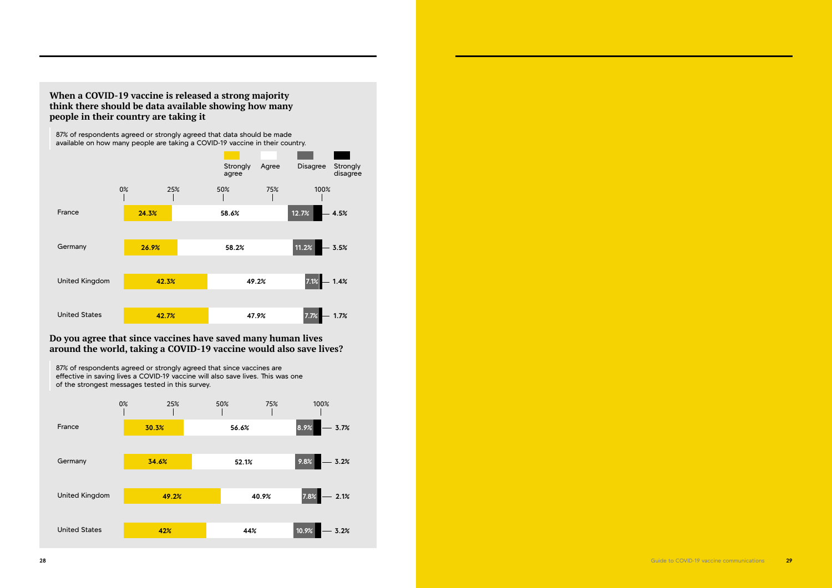## **When a COVID-19 vaccine is released a strong majority think there should be data available showing how many people in their country are taking it**

## **Do you agree that since vaccines have saved many human lives around the world, taking a COVID-19 vaccine would also save lives?**

87% of respondents agreed or strongly agreed that data should be made available on how many people are taking a COVID-19 vaccine in their country.

87% of respondents agreed or strongly agreed that since vaccines are effective in saving lives a COVID-19 vaccine will also save lives. This was one of the strongest messages tested in this survey. **49.2% 40.9% 7.8% 56.6% 8.9% 52.1% 9.8% 30.3% 34.6%** France Germany United Kingdom **3.7% 3.2% 2.1%** 0% 25% 50% 75% 100%

**42% 44% 10.9%**

United States

**3.2%**





**28** Guide to COVID-19 vaccine communications **29**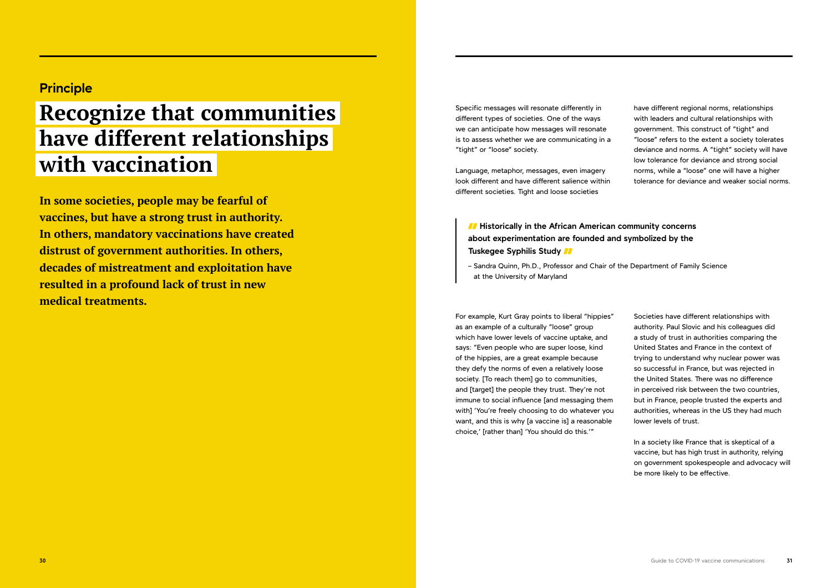**In some societies, people may be fearful of vaccines, but have a strong trust in authority. In others, mandatory vaccinations have created distrust of government authorities. In others, decades of mistreatment and exploitation have resulted in a profound lack of trust in new medical treatments.**

Specific messages will resonate differently in different types of societies. One of the ways we can anticipate how messages will resonate is to assess whether we are communicating in a "tight" or "loose" society.

Language, metaphor, messages, even imagery look different and have different salience within different societies. Tight and loose societies

For example, Kurt Gray points to liberal "hippies" as an example of a culturally "loose" group which have lower levels of vaccine uptake, and says: "Even people who are super loose, kind of the hippies, are a great example because they defy the norms of even a relatively loose society. [To reach them] go to communities, and [target] the people they trust. They're not immune to social influence [and messaging them with] 'You're freely choosing to do whatever you want, and this is why [a vaccine is] a reasonable choice,' [rather than] 'You should do this.'"

# *II* **Historically in the African American community concerns about experimentation are founded and symbolized by the Tuskegee Syphilis Study**

have different regional norms, relationships with leaders and cultural relationships with government. This construct of "tight" and "loose" refers to the extent a society tolerates deviance and norms. A "tight" society will have low tolerance for deviance and strong social norms, while a "loose" one will have a higher tolerance for deviance and weaker social norms.

Societies have different relationships with authority. Paul Slovic and his colleagues did a study of trust in authorities comparing the United States and France in the context of trying to understand why nuclear power was so successful in France, but was rejected in the United States. There was no difference in perceived risk between the two countries, but in France, people trusted the experts and authorities, whereas in the US they had much lower levels of trust.

In a society like France that is skeptical of a vaccine, but has high trust in authority, relying on government spokespeople and advocacy will be more likely to be effective.

# **Principle**

# **Recognize that communities have different relationships with vaccination**

– Sandra Quinn, Ph.D., Professor and Chair of the Department of Family Science at the University of Maryland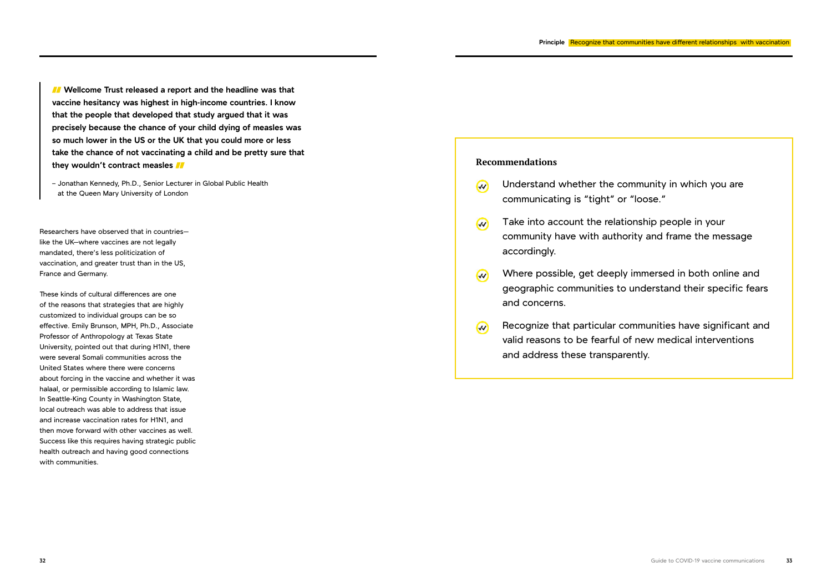*I* Wellcome Trust released a report and the headline was that **vaccine hesitancy was highest in high-income countries. I know that the people that developed that study argued that it was precisely because the chance of your child dying of measles was so much lower in the US or the UK that you could more or less take the chance of not vaccinating a child and be pretty sure that they wouldn't contract measles** 

– Jonathan Kennedy, Ph.D., Senior Lecturer in Global Public Health at the Queen Mary University of London

Researchers have observed that in countries like the UK-where vaccines are not legally mandated, there's less politicization of vaccination, and greater trust than in the US, France and Germany.

- $\omega$ communicating is "tight" or "loose."
- Take into account the relationship people in your  $\overline{\mathcal{W}}$ community have with authority and frame the message accordingly.
- $\omega$ and concerns.
- $\omega$ and address these transparently.

These kinds of cultural differences are one of the reasons that strategies that are highly customized to individual groups can be so effective. Emily Brunson, MPH, Ph.D., Associate Professor of Anthropology at Texas State University, pointed out that during H1N1, there were several Somali communities across the United States where there were concerns about forcing in the vaccine and whether it was halaal, or permissible according to Islamic law. In Seattle-King County in Washington State, local outreach was able to address that issue and increase vaccination rates for H1N1, and then move forward with other vaccines as well. Success like this requires having strategic public health outreach and having good connections with communities.

### **Recommendations**

Understand whether the community in which you are

Where possible, get deeply immersed in both online and geographic communities to understand their specific fears

Recognize that particular communities have significant and valid reasons to be fearful of new medical interventions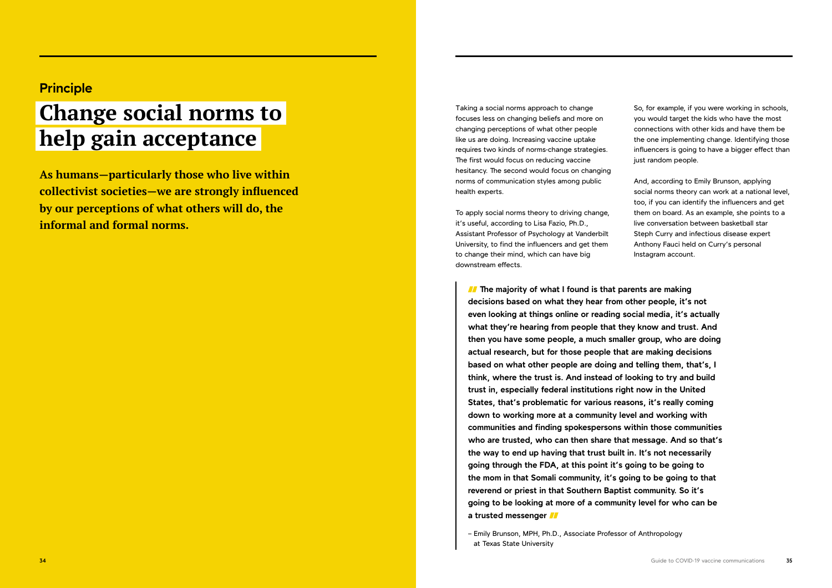**As humans—particularly those who live within collectivist societies—we are strongly influenced by our perceptions of what others will do, the informal and formal norms.** 

Taking a social norms approach to change focuses less on changing beliefs and more on changing perceptions of what other people like us are doing. Increasing vaccine uptake requires two kinds of norms-change strategies. The first would focus on reducing vaccine hesitancy. The second would focus on changing norms of communication styles among public health experts.

To apply social norms theory to driving change, it's useful, according to Lisa Fazio, Ph.D., Assistant Professor of Psychology at Vanderbilt University, to find the influencers and get them to change their mind, which can have big downstream effects.

So, for example, if you were working in schools, you would target the kids who have the most connections with other kids and have them be the one implementing change. Identifying those influencers is going to have a bigger effect than just random people.

And, according to Emily Brunson, applying social norms theory can work at a national level, too, if you can identify the influencers and get them on board. As an example, she points to a live conversation between basketball star Steph Curry and infectious disease expert Anthony Fauci held on Curry's personal Instagram account.

*I* The majority of what I found is that parents are making **decisions based on what they hear from other people, it's not even looking at things online or reading social media, it's actually what they're hearing from people that they know and trust. And then you have some people, a much smaller group, who are doing actual research, but for those people that are making decisions based on what other people are doing and telling them, that's, I think, where the trust is. And instead of looking to try and build trust in, especially federal institutions right now in the United States, that's problematic for various reasons, it's really coming down to working more at a community level and working with communities and finding spokespersons within those communities who are trusted, who can then share that message. And so that's the way to end up having that trust built in. It's not necessarily going through the FDA, at this point it's going to be going to the mom in that Somali community, it's going to be going to that reverend or priest in that Southern Baptist community. So it's going to be looking at more of a community level for who can be a trusted messenger** 

# **Principle**

# **Change social norms to help gain acceptance**

<sup>–</sup> Emily Brunson, MPH, Ph.D., Associate Professor of Anthropology at Texas State University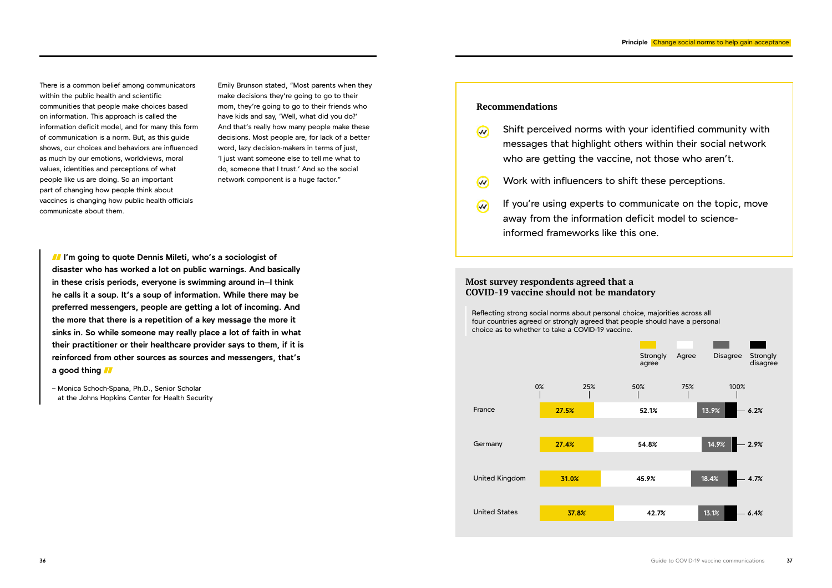There is a common belief among communicators within the public health and scientific communities that people make choices based on information. This approach is called the information deficit model, and for many this form of communication is a norm. But, as this guide shows, our choices and behaviors are influenced as much by our emotions, worldviews, moral values, identities and perceptions of what people like us are doing. So an important part of changing how people think about vaccines is changing how public health officials communicate about them.

Emily Brunson stated, "Most parents when they make decisions they're going to go to their mom, they're going to go to their friends who have kids and say, 'Well, what did you do?' And that's really how many people make these decisions. Most people are, for lack of a better word, lazy decision-makers in terms of just, 'I just want someone else to tell me what to do, someone that I trust.' And so the social network component is a huge factor."

*II* I'm going to quote Dennis Mileti, who's a sociologist of **disaster who has worked a lot on public warnings. And basically in these crisis periods, everyone is swimming around in**—**I think he calls it a soup. It's a soup of information. While there may be preferred messengers, people are getting a lot of incoming. And the more that there is a repetition of a key message the more it sinks in. So while someone may really place a lot of faith in what their practitioner or their healthcare provider says to them, if it is reinforced from other sources as sources and messengers, that's a good thing** 

- $\omega$
- Work with influencers to shift these perceptions.  $\omega$
- $\omega$ away from the information deficit model to scienceinformed frameworks like this one.

– Monica Schoch-Spana, Ph.D., Senior Scholar at the Johns Hopkins Center for Health Security

## **Recommendations**

Shift perceived norms with your identified community with messages that highlight others within their social network who are getting the vaccine, not those who aren't.

If you're using experts to communicate on the topic, move



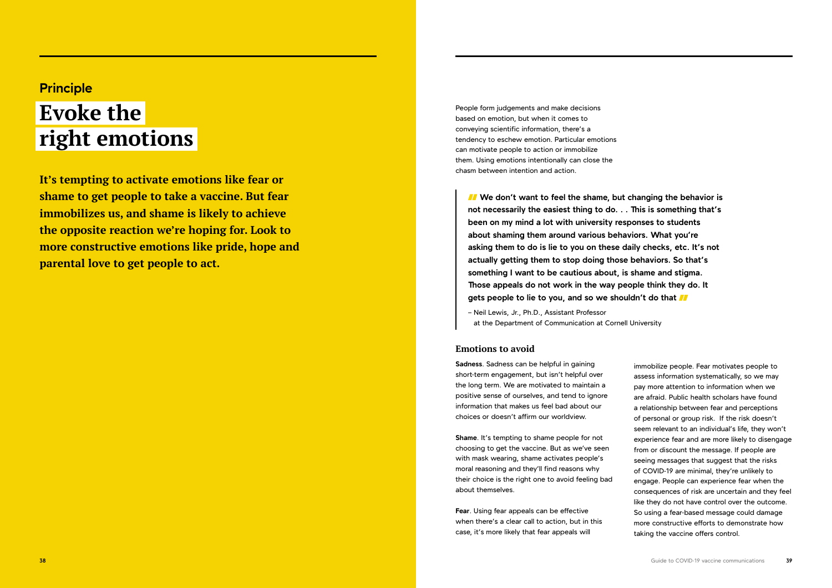**It's tempting to activate emotions like fear or shame to get people to take a vaccine. But fear immobilizes us, and shame is likely to achieve the opposite reaction we're hoping for. Look to more constructive emotions like pride, hope and parental love to get people to act.**

People form judgements and make decisions based on emotion, but when it comes to conveying scientific information, there's a tendency to eschew emotion. Particular emotions can motivate people to action or immobilize them. Using emotions intentionally can close the chasm between intention and action.

## **Emotions to avoid**

**Sadness**. Sadness can be helpful in gaining short-term engagement, but isn't helpful over the long term. We are motivated to maintain a positive sense of ourselves, and tend to ignore information that makes us feel bad about our choices or doesn't affirm our worldview.

*I* We don't want to feel the shame, but changing the behavior is **not necessarily the easiest thing to do. . . This is something that's been on my mind a lot with university responses to students about shaming them around various behaviors. What you're asking them to do is lie to you on these daily checks, etc. It's not actually getting them to stop doing those behaviors. So that's something I want to be cautious about, is shame and stigma. Those appeals do not work in the way people think they do. It gets people to lie to you, and so we shouldn't do that** 

**Shame**. It's tempting to shame people for not choosing to get the vaccine. But as we've seen with mask wearing, shame activates people's moral reasoning and they'll find reasons why their choice is the right one to avoid feeling bad about themselves.

**Fear**. Using fear appeals can be effective when there's a clear call to action, but in this case, it's more likely that fear appeals will

# **Principle Evoke the right emotions**

– Neil Lewis, Jr., Ph.D., Assistant Professor at the Department of Communication at Cornell University

> immobilize people. Fear motivates people to assess information systematically, so we may pay more attention to information when we are afraid. Public health scholars have found a relationship between fear and perceptions of personal or group risk. If the risk doesn't seem relevant to an individual's life, they won't experience fear and are more likely to disengage from or discount the message. If people are seeing messages that suggest that the risks of COVID-19 are minimal, they're unlikely to engage. People can experience fear when the consequences of risk are uncertain and they feel like they do not have control over the outcome. So using a fear-based message could damage more constructive efforts to demonstrate how taking the vaccine offers control.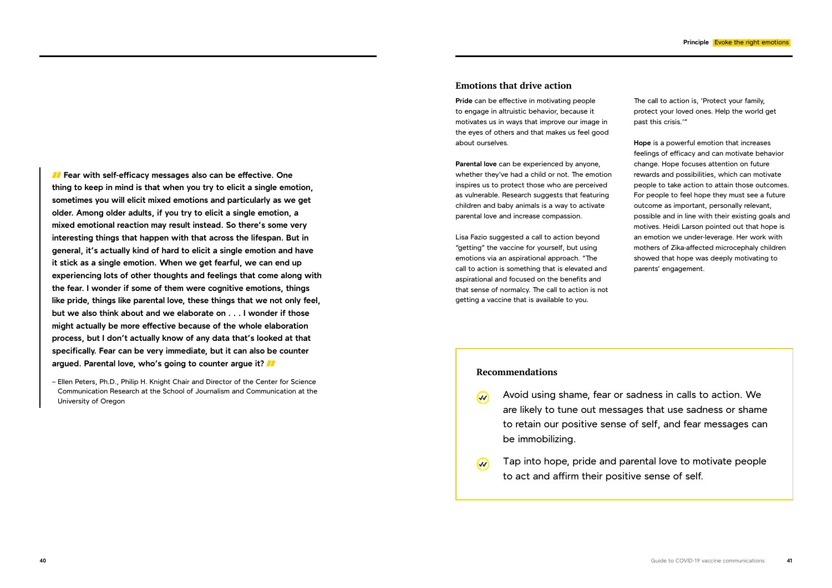*I* Fear with self-efficacy messages also can be effective. One **thing to keep in mind is that when you try to elicit a single emotion, sometimes you will elicit mixed emotions and particularly as we get older. Among older adults, if you try to elicit a single emotion, a mixed emotional reaction may result instead. So there's some very interesting things that happen with that across the lifespan. But in general, it's actually kind of hard to elicit a single emotion and have it stick as a single emotion. When we get fearful, we can end up experiencing lots of other thoughts and feelings that come along with the fear. I wonder if some of them were cognitive emotions, things like pride, things like parental love, these things that we not only feel, but we also think about and we elaborate on . . . I wonder if those might actually be more effective because of the whole elaboration process, but I don't actually know of any data that's looked at that specifically. Fear can be very immediate, but it can also be counter argued. Parental love, who's going to counter argue it?** 

– Ellen Peters, Ph.D., Philip H. Knight Chair and Director of the Center for Science Communication Research at the School of Journalism and Communication at the University of Oregon

### **Emotions that drive action**

**Pride** can be effective in motivating people to engage in altruistic behavior, because it motivates us in ways that improve our image in the eyes of others and that makes us feel good about ourselves.

- $\overline{\mathcal{W}}$ be immobilizing.
- $\omega$ to act and affirm their positive sense of self.

**Parental love** can be experienced by anyone, whether they've had a child or not. The emotion inspires us to protect those who are perceived as vulnerable. Research suggests that featuring children and baby animals is a way to activate parental love and increase compassion.

Lisa Fazio suggested a call to action beyond "getting" the vaccine for yourself, but using emotions via an aspirational approach. "The call to action is something that is elevated and aspirational and focused on the benefits and that sense of normalcy. The call to action is not getting a vaccine that is available to you.

The call to action is, 'Protect your family, protect your loved ones. Help the world get past this crisis.'"

**Hope** is a powerful emotion that increases feelings of efficacy and can motivate behavior change. Hope focuses attention on future rewards and possibilities, which can motivate people to take action to attain those outcomes. For people to feel hope they must see a future outcome as important, personally relevant, possible and in line with their existing goals and motives. Heidi Larson pointed out that hope is an emotion we under-leverage. Her work with mothers of Zika-affected microcephaly children showed that hope was deeply motivating to parents' engagement.

### **Recommendations**

Avoid using shame, fear or sadness in calls to action. We are likely to tune out messages that use sadness or shame to retain our positive sense of self, and fear messages can

Tap into hope, pride and parental love to motivate people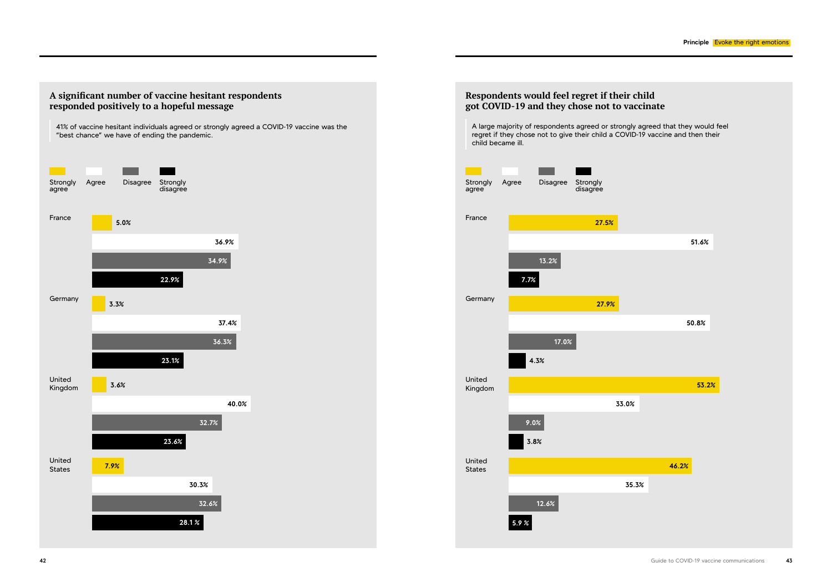A large majority of respondents agreed or strongly agreed that they would feel regret if they chose not to give their child a COVID-19 vaccine and then their child became ill.



## **Respondents would feel regret if their child got COVID-19 and they chose not to vaccinate**

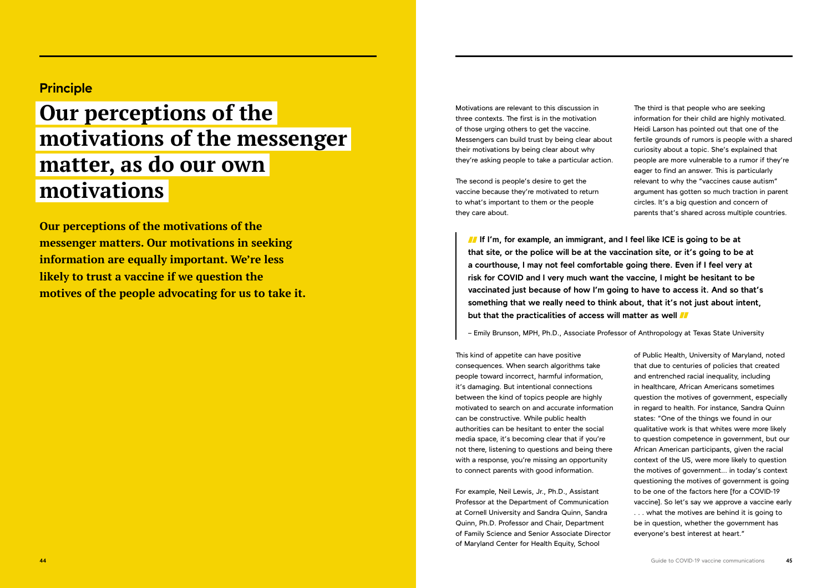**Our perceptions of the motivations of the messenger matters. Our motivations in seeking information are equally important. We're less likely to trust a vaccine if we question the motives of the people advocating for us to take it.**  Motivations are relevant to this discussion in three contexts. The first is in the motivation of those urging others to get the vaccine. Messengers can build trust by being clear about their motivations by being clear about why they're asking people to take a particular action.

The second is people's desire to get the vaccine because they're motivated to return to what's important to them or the people they care about.

This kind of appetite can have positive consequences. When search algorithms take people toward incorrect, harmful information, it's damaging. But intentional connections between the kind of topics people are highly motivated to search on and accurate information can be constructive. While public health authorities can be hesitant to enter the social media space, it's becoming clear that if you're not there, listening to questions and being there with a response, you're missing an opportunity to connect parents with good information.

For example, Neil Lewis, Jr., Ph.D., Assistant Professor at the Department of Communication at Cornell University and Sandra Quinn, Sandra Quinn, Ph.D. Professor and Chair, Department of Family Science and Senior Associate Director of Maryland Center for Health Equity, School

**If** If I'm, for example, an immigrant, and I feel like ICE is going to be at **that site, or the police will be at the vaccination site, or it's going to be at a courthouse, I may not feel comfortable going there. Even if I feel very at risk for COVID and I very much want the vaccine, I might be hesitant to be vaccinated just because of how I'm going to have to access it. And so that's something that we really need to think about, that it's not just about intent, but that the practicalities of access will matter as well** 

The third is that people who are seeking information for their child are highly motivated. Heidi Larson has pointed out that one of the fertile grounds of rumors is people with a shared curiosity about a topic. She's explained that people are more vulnerable to a rumor if they're eager to find an answer. This is particularly relevant to why the "vaccines cause autism" argument has gotten so much traction in parent circles. It's a big question and concern of parents that's shared across multiple countries.

of Public Health, University of Maryland, noted that due to centuries of policies that created and entrenched racial inequality, including in healthcare, African Americans sometimes question the motives of government, especially in regard to health. For instance, Sandra Quinn states: "One of the things we found in our qualitative work is that whites were more likely to question competence in government, but our African American participants, given the racial context of the US, were more likely to question the motives of government... in today's context questioning the motives of government is going to be one of the factors here [for a COVID-19 vaccine]. So let's say we approve a vaccine early . . . what the motives are behind it is going to be in question, whether the government has everyone's best interest at heart."

# **Principle**

# **Our perceptions of the motivations of the messenger matter, as do our own motivations**

– Emily Brunson, MPH, Ph.D., Associate Professor of Anthropology at Texas State University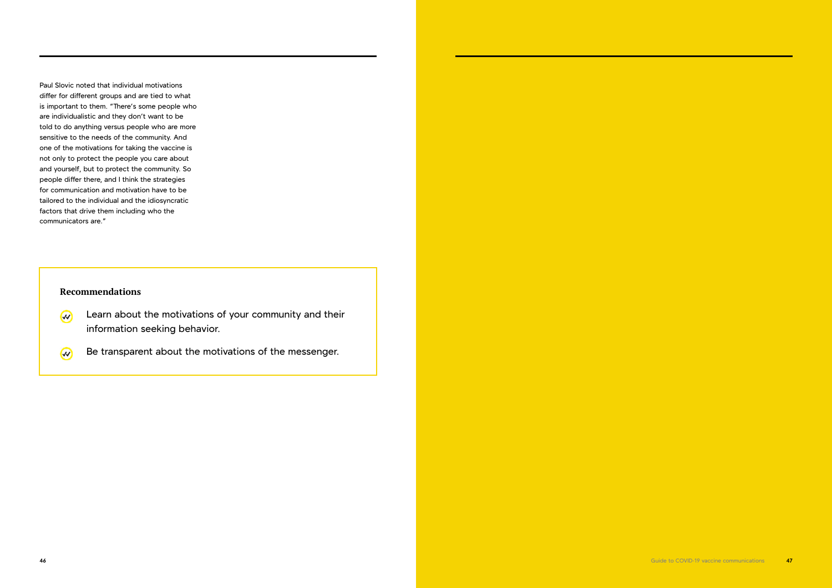Paul Slovic noted that individual motivations differ for different groups and are tied to what is important to them. "There's some people who are individualistic and they don't want to be told to do anything versus people who are more sensitive to the needs of the community. And one of the motivations for taking the vaccine is not only to protect the people you care about and yourself, but to protect the community. So people differ there, and I think the strategies for communication and motivation have to be tailored to the individual and the idiosyncratic factors that drive them including who the communicators are."

- Learn about the motivations of your community and their  $\omega$ information seeking behavior.
- Be transparent about the motivations of the messenger.  $\omega$

# **Recommendations**

**46** Guide to COVID-19 vaccine communications **47**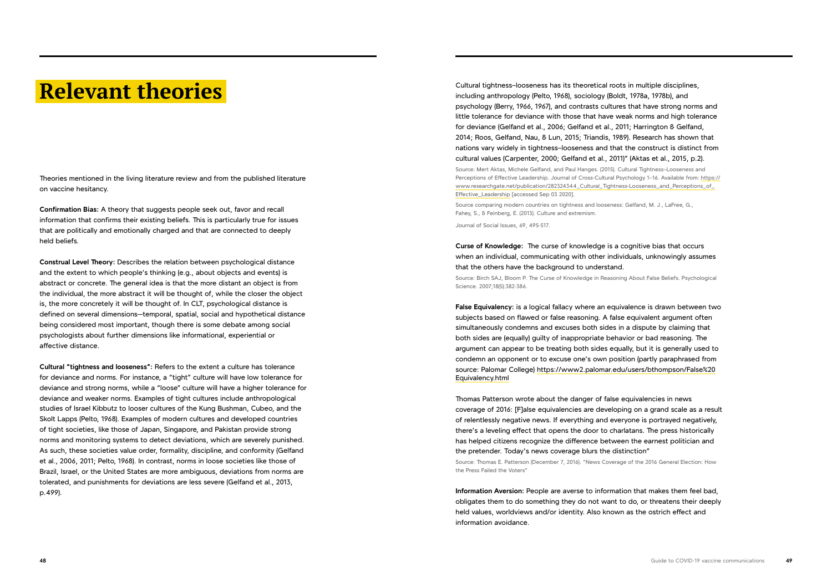# **Relevant theories**

Theories mentioned in the living literature review and from the published literature on vaccine hesitancy.

**Confirmation Bias:** A theory that suggests people seek out, favor and recall information that confirms their existing beliefs. This is particularly true for issues that are politically and emotionally charged and that are connected to deeply held beliefs.

**Construal Level Theory:** Describes the relation between psychological distance and the extent to which people's thinking (e.g., about objects and events) is abstract or concrete. The general idea is that the more distant an object is from the individual, the more abstract it will be thought of, while the closer the object is, the more concretely it will be thought of. In CLT, psychological distance is defined on several dimensions—temporal, spatial, social and hypothetical distance being considered most important, though there is some debate among social psychologists about further dimensions like informational, experiential or affective distance.

**Cultural "tightness and looseness":** Refers to the extent a culture has tolerance for deviance and norms. For instance, a "tight" culture will have low tolerance for deviance and strong norms, while a "loose" culture will have a higher tolerance for deviance and weaker norms. Examples of tight cultures include anthropological studies of Israel Kibbutz to looser cultures of the Kung Bushman, Cubeo, and the Skolt Lapps (Pelto, 1968). Examples of modern cultures and developed countries of tight societies, like those of Japan, Singapore, and Pakistan provide strong norms and monitoring systems to detect deviations, which are severely punished. As such, these societies value order, formality, discipline, and conformity (Gelfand et al., 2006, 2011; Pelto, 1968). In contrast, norms in loose societies like those of Brazil, Israel, or the United States are more ambiguous, deviations from norms are tolerated, and punishments for deviations are less severe (Gelfand et al., 2013, p.499).

Cultural tightness–looseness has its theoretical roots in multiple disciplines, including anthropology (Pelto, 1968), sociology (Boldt, 1978a, 1978b), and psychology (Berry, 1966, 1967), and contrasts cultures that have strong norms and little tolerance for deviance with those that have weak norms and high tolerance for deviance (Gelfand et al., 2006; Gelfand et al., 2011; Harrington & Gelfand, 2014; Roos, Gelfand, Nau, & Lun, 2015; Triandis, 1989). Research has shown that nations vary widely in tightness–looseness and that the construct is distinct from cultural values (Carpenter, 2000; Gelfand et al., 2011)" (Aktas et al., 2015, p.2). Source: Mert Aktas, Michele Gelfand, and Paul Hanges. (2015). Cultural Tightness–Looseness and Perceptions of Effective Leadership. Journal of Cross-Cultural Psychology 1–16. Available from: [https://](https://www.researchgate.net/publication/282324344_Cultural_Tightness-Looseness_and_Perceptions_of_Effective_Leadership) [www.researchgate.net/publication/282324344\\_Cultural\\_Tightness-Looseness\\_and\\_Perceptions\\_of\\_](https://www.researchgate.net/publication/282324344_Cultural_Tightness-Looseness_and_Perceptions_of_Effective_Leadership) [Effective\\_Leadership](https://www.researchgate.net/publication/282324344_Cultural_Tightness-Looseness_and_Perceptions_of_Effective_Leadership) [accessed Sep 03 2020].

Source comparing modern countries on tightness and looseness: Gelfand, M. J., LaFree, G., Fahey, S., & Feinberg, E. (2013). Culture and extremism.

Journal of Social Issues, 69, 495-517.

**Curse of Knowledge:** The curse of knowledge is a cognitive bias that occurs when an individual, communicating with other individuals, unknowingly assumes that the others have the background to understand.

Source: Birch SAJ, Bloom P. The Curse of Knowledge in Reasoning About False Beliefs. Psychological Science. 2007;18(5):382-386.

**False Equivalency:** is a logical fallacy where an equivalence is drawn between two subjects based on flawed or false reasoning. A false equivalent argument often simultaneously condemns and excuses both sides in a dispute by claiming that both sides are (equally) guilty of inappropriate behavior or bad reasoning. The argument can appear to be treating both sides equally, but it is generally used to condemn an opponent or to excuse one's own position (partly paraphrased from source: Palomar College) https://www2.palomar.edu/users/bthompson/False%20 Equivalency.html

Thomas Patterson wrote about the danger of false equivalencies in news coverage of 2016: [F]alse equivalencies are developing on a grand scale as a result of relentlessly negative news. If everything and everyone is portrayed negatively, there's a leveling effect that opens the door to charlatans. The press historically has helped citizens recognize the difference between the earnest politician and the pretender. Today's news coverage blurs the distinction" Source: Thomas E. Patterson (December 7, 2016). "News Coverage of the 2016 General Election: How the Press Failed the Voters"

**Information Aversion:** People are averse to information that makes them feel bad, obligates them to do something they do not want to do, or threatens their deeply held values, worldviews and/or identity. Also known as the ostrich effect and information avoidance.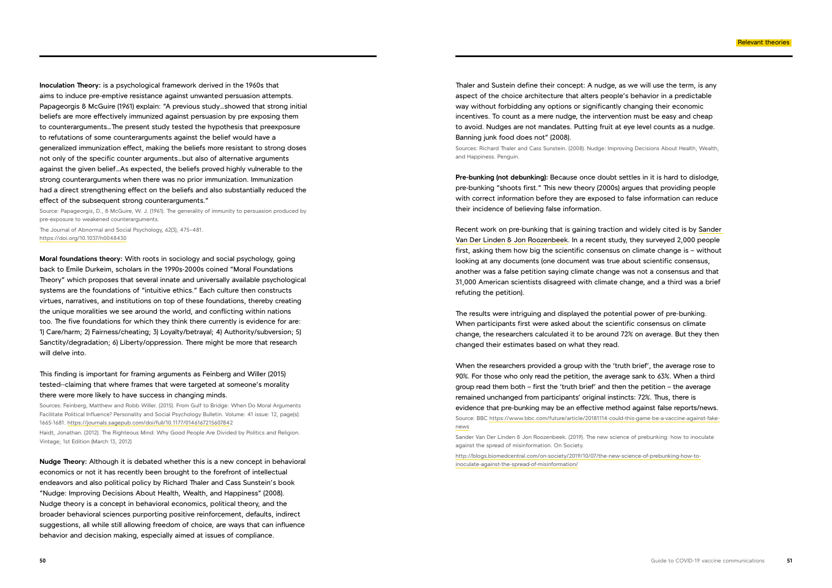**Inoculation Theory:** is a psychological framework derived in the 1960s that aims to induce pre-emptive resistance against unwanted persuasion attempts. Papageorgis & McGuire (1961) explain: "A previous study…showed that strong initial beliefs are more effectively immunized against persuasion by pre exposing them to counterarguments…The present study tested the hypothesis that preexposure to refutations of some counterarguments against the belief would have a generalized immunization effect, making the beliefs more resistant to strong doses not only of the specific counter arguments…but also of alternative arguments against the given belief…As expected, the beliefs proved highly vulnerable to the strong counterarguments when there was no prior immunization. Immunization had a direct strengthening effect on the beliefs and also substantially reduced the effect of the subsequent strong counterarguments."

Source: Papageorgis, D., & McGuire, W. J. (1961). The generality of immunity to persuasion produced by pre-exposure to weakened counterarguments.

The Journal of Abnormal and Social Psychology, 62(3), 475–481. <https://doi.org/10.1037/h0048430>

**Moral foundations theory:** With roots in sociology and social psychology, going back to Emile Durkeim, scholars in the 1990s-2000s coined "Moral Foundations Theory" which proposes that several innate and universally available psychological systems are the foundations of "intuitive ethics." Each culture then constructs virtues, narratives, and institutions on top of these foundations, thereby creating the unique moralities we see around the world, and conflicting within nations too. The five foundations for which they think there currently is evidence for are: 1) Care/harm; 2) Fairness/cheating; 3) Loyalty/betrayal; 4) Authority/subversion; 5) Sanctity/degradation; 6) Liberty/oppression. There might be more that research will delve into.

This finding is important for framing arguments as Feinberg and Willer (2015) tested--claiming that where frames that were targeted at someone's morality there were more likely to have success in changing minds.

Sources: Feinberg, Matthew and Robb Willer. (2015). From Gulf to Bridge: When Do Moral Arguments Facilitate Political Influence? Personality and Social Psychology Bulletin. Volume: 41 issue: 12, page(s): 1665-1681. [https://journals.sagepub.com/doi/full/10.1177/0146167215607842](https://journals.sagepub.com/doi/full/10.1177/014616721560784)

Haidt, Jonathan. (2012). The Righteous Mind: Why Good People Are Divided by Politics and Religion. Vintage; 1st Edition (March 13, 2012)

**Nudge Theory:** Although it is debated whether this is a new concept in behavioral economics or not it has recently been brought to the forefront of intellectual endeavors and also political policy by Richard Thaler and Cass Sunstein's book "Nudge: Improving Decisions About Health, Wealth, and Happiness" (2008). Nudge theory is a concept in behavioral economics, political theory, and the broader behavioral sciences purporting positive reinforcement, defaults, indirect suggestions, all while still allowing freedom of choice, are ways that can influence behavior and decision making, especially aimed at issues of compliance.

Thaler and Sustein define their concept: A nudge, as we will use the term, is any aspect of the choice architecture that alters people's behavior in a predictable way without forbidding any options or significantly changing their economic incentives. To count as a mere nudge, the intervention must be easy and cheap to avoid. Nudges are not mandates. Putting fruit at eye level counts as a nudge. Banning junk food does not" (2008).

Sources: Richard Thaler and Cass Sunstein. (2008). Nudge: Improving Decisions About Health, Wealth, and Happiness. Penguin.

**Pre-bunking (not debunking):** Because once doubt settles in it is hard to dislodge, pre-bunking "shoots first." This new theory (2000s) argues that providing people with correct information before they are exposed to false information can reduce their incidence of believing false information.

Recent work on pre-bunking that is gaining traction and widely cited is by [Sander](http://blogs.biomedcentral.com/on-society/author/lindenroozenbeek/)  [Van Der Linden & Jon Roozenbeek.](http://blogs.biomedcentral.com/on-society/author/lindenroozenbeek/) In a recent study, they surveyed 2,000 people first, asking them how big the scientific consensus on climate change is – without looking at any documents (one document was true about scientific consensus, another was a false petition saying climate change was not a consensus and that 31,000 American scientists disagreed with climate change, and a third was a brief refuting the petition).

The results were intriguing and displayed the potential power of pre-bunking. When participants first were asked about the scientific consensus on climate change, the researchers calculated it to be around 72% on average. But they then changed their estimates based on what they read.

When the researchers provided a group with the 'truth brief', the average rose to 90%. For those who only read the petition, the average sank to 63%. When a third group read them both – first the 'truth brief' and then the petition – the average remained unchanged from participants' original instincts: 72%. Thus, there is evidence that pre-bunking may be an effective method against false reports/news. Source: BBC [https://www.bbc.com/future/article/20181114-could-this-game-be-a-vaccine-against-fake](https://www.bbc.com/future/article/20181114-could-this-game-be-a-vaccine-against-fake-news)[news](https://www.bbc.com/future/article/20181114-could-this-game-be-a-vaccine-against-fake-news)

Sander Van Der Linden & Jon Roozenbeek. (2019). The new science of prebunking: how to inoculate against the spread of misinformation. On Society.

[http://blogs.biomedcentral.com/on-society/2019/10/07/the-new-science-of-prebunking-how-to](http://blogs.biomedcentral.com/on-society/2019/10/07/the-new-science-of-prebunking-how-to-inoculate-against-the-spread-of-misinformation/)[inoculate-against-the-spread-of-misinformation/](http://blogs.biomedcentral.com/on-society/2019/10/07/the-new-science-of-prebunking-how-to-inoculate-against-the-spread-of-misinformation/)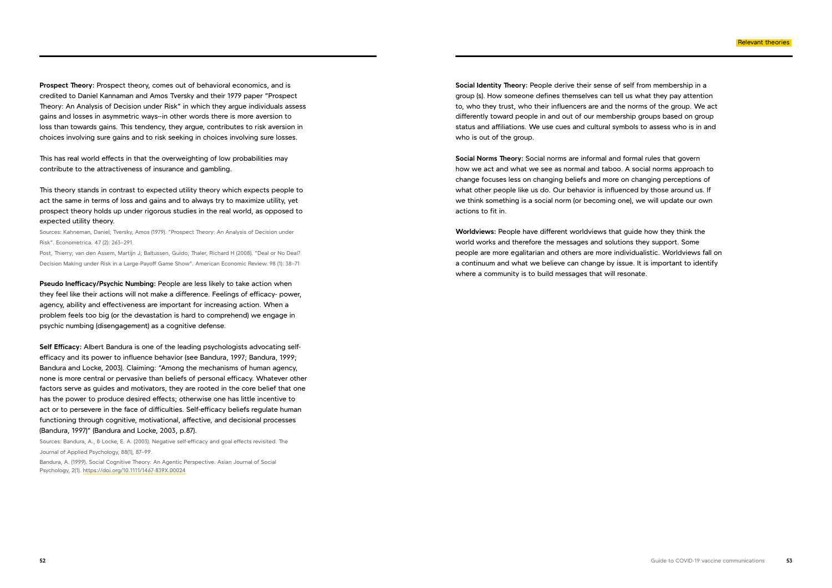**Prospect Theory:** Prospect theory, comes out of behavioral economics, and is credited to Daniel Kannaman and Amos Tversky and their 1979 paper "Prospect Theory: An Analysis of Decision under Risk" in which they argue individuals assess gains and losses in asymmetric ways--in other words there is more aversion to loss than towards gains. This tendency, they argue, contributes to risk aversion in choices involving sure gains and to risk seeking in choices involving sure losses.

This has real world effects in that the overweighting of low probabilities may contribute to the attractiveness of insurance and gambling.

This theory stands in contrast to expected utility theory which expects people to act the same in terms of loss and gains and to always try to maximize utility, yet prospect theory holds up under rigorous studies in the real world, as opposed to expected utility theory.

Sources: Kahneman, Daniel; Tversky, Amos (1979). "Prospect Theory: An Analysis of Decision under Risk". Econometrica. 47 (2): 263–291.

Post, Thierry; van den Assem, Martijn J; Baltussen, Guido; Thaler, Richard H (2008). "Deal or No Deal? Decision Making under Risk in a Large-Payoff Game Show". American Economic Review. 98 (1): 38–71

**Pseudo Inefficacy/Psychic Numbing:** People are less likely to take action when they feel like their actions will not make a difference. Feelings of efficacy- power, agency, ability and effectiveness are important for increasing action. When a problem feels too big (or the devastation is hard to comprehend) we engage in psychic numbing (disengagement) as a cognitive defense.

**Self Efficacy:** Albert Bandura is one of the leading psychologists advocating selfefficacy and its power to influence behavior (see Bandura, 1997; Bandura, 1999; Bandura and Locke, 2003). Claiming: "Among the mechanisms of human agency, none is more central or pervasive than beliefs of personal efficacy. Whatever other factors serve as guides and motivators, they are rooted in the core belief that one has the power to produce desired effects; otherwise one has little incentive to act or to persevere in the face of difficulties. Self-efficacy beliefs regulate human functioning through cognitive, motivational, affective, and decisional processes (Bandura, 1997)" (Bandura and Locke, 2003, p.87).

Sources: Bandura, A., & Locke, E. A. (2003). Negative self-efficacy and goal effects revisited. The Journal of Applied Psychology, 88(1), 87–99.

Bandura, A. (1999). Social Cognitive Theory: An Agentic Perspective. Asian Journal of Social Psychology, 2(1). <https://doi.org/10.1111/1467-839X.00024>

**Social Identity Theory:** People derive their sense of self from membership in a group (s). How someone defines themselves can tell us what they pay attention to, who they trust, who their influencers are and the norms of the group. We act differently toward people in and out of our membership groups based on group status and affiliations. We use cues and cultural symbols to assess who is in and who is out of the group.

**Social Norms Theory:** Social norms are informal and formal rules that govern how we act and what we see as normal and taboo. A social norms approach to change focuses less on changing beliefs and more on changing perceptions of what other people like us do. Our behavior is influenced by those around us. If we think something is a social norm (or becoming one), we will update our own actions to fit in.

**Worldviews:** People have different worldviews that guide how they think the world works and therefore the messages and solutions they support. Some people are more egalitarian and others are more individualistic. Worldviews fall on a continuum and what we believe can change by issue. It is important to identify where a community is to build messages that will resonate.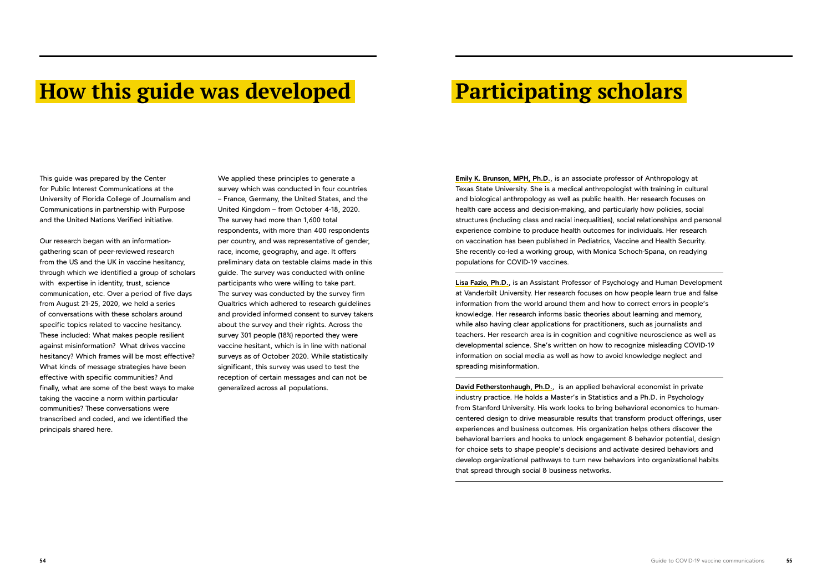# **How this guide was developed Participating scholars**

This guide was prepared by the Center for Public Interest Communications at the University of Florida College of Journalism and Communications in partnership with Purpose and the United Nations Verified initiative.

Our research began with an informationgathering scan of peer-reviewed research from the US and the UK in vaccine hesitancy, through which we identified a group of scholars with expertise in identity, trust, science communication, etc. Over a period of five days from August 21-25, 2020, we held a series of conversations with these scholars around specific topics related to vaccine hesitancy. These included: What makes people resilient against misinformation? What drives vaccine hesitancy? Which frames will be most effective? What kinds of message strategies have been effective with specific communities? And finally, what are some of the best ways to make taking the vaccine a norm within particular communities? These conversations were transcribed and coded, and we identified the principals shared here.

**Emily K. Brunson, MPH, Ph.D.**, is an associate professor of Anthropology at Texas State University. She is a medical anthropologist with training in cultural and biological anthropology as well as public health. Her research focuses on health care access and decision-making, and particularly how policies, social structures (including class and racial inequalities), social relationships and personal experience combine to produce health outcomes for individuals. Her research on vaccination has been published in Pediatrics, Vaccine and Health Security. She recently co-led a working group, with Monica Schoch-Spana, on readying populations for COVID-19 vaccines.

**Lisa Fazio, Ph.D.**, is an Assistant Professor of Psychology and Human Development at Vanderbilt University. Her research focuses on how people learn true and false information from the world around them and how to correct errors in people's knowledge. Her research informs basic theories about learning and memory, while also having clear applications for practitioners, such as journalists and teachers. Her research area is in cognition and cognitive neuroscience as well as developmental science. She's written on how to recognize misleading COVID-19 information on social media as well as how to avoid knowledge neglect and spreading misinformation.

**David Fetherstonhaugh, Ph.D.**, is an applied behavioral economist in private industry practice. He holds a Master's in Statistics and a Ph.D. in Psychology from Stanford University. His work looks to bring behavioral economics to humancentered design to drive measurable results that transform product offerings, user experiences and business outcomes. His organization helps others discover the behavioral barriers and hooks to unlock engagement & behavior potential, design for choice sets to shape people's decisions and activate desired behaviors and develop organizational pathways to turn new behaviors into organizational habits that spread through social & business networks.

We applied these principles to generate a survey which was conducted in four countries – France, Germany, the United States, and the United Kingdom – from October 4-18, 2020. The survey had more than 1,600 total respondents, with more than 400 respondents per country, and was representative of gender, race, income, geography, and age. It offers preliminary data on testable claims made in this guide. The survey was conducted with online participants who were willing to take part. The survey was conducted by the survey firm Qualtrics which adhered to research guidelines and provided informed consent to survey takers about the survey and their rights. Across the survey 301 people (18%) reported they were vaccine hesitant, which is in line with national surveys as of October 2020. While statistically significant, this survey was used to test the reception of certain messages and can not be generalized across all populations.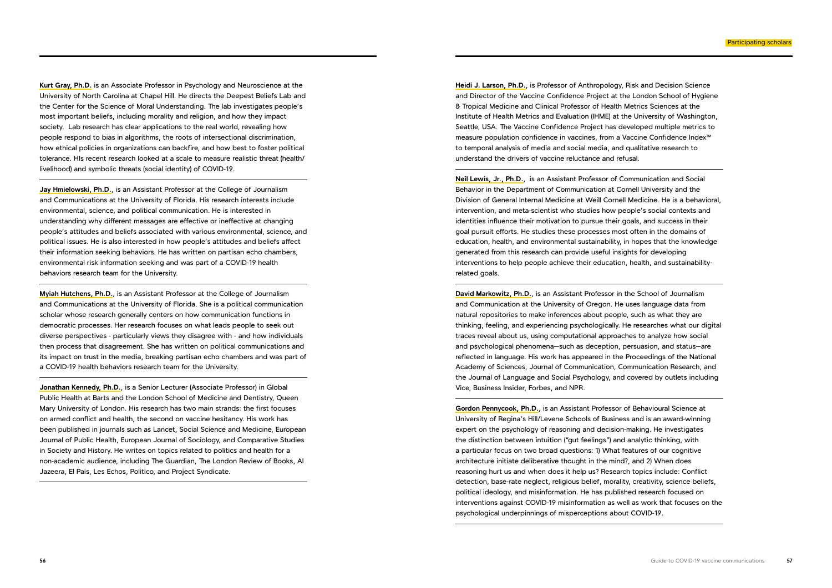**Kurt Gray, Ph.D.** is an Associate Professor in Psychology and Neuroscience at the University of North Carolina at Chapel Hill. He directs the Deepest Beliefs Lab and the Center for the Science of Moral Understanding. The lab investigates people's most important beliefs, including morality and religion, and how they impact society. Lab research has clear applications to the real world, revealing how people respond to bias in algorithms, the roots of intersectional discrimination, how ethical policies in organizations can backfire, and how best to foster political tolerance. HIs recent research looked at a scale to measure realistic threat (health/ livelihood) and symbolic threats (social identity) of COVID-19.

**Jay Hmielowski, Ph.D.**, is an Assistant Professor at the College of Journalism and Communications at the University of Florida. His research interests include environmental, science, and political communication. He is interested in understanding why different messages are effective or ineffective at changing people's attitudes and beliefs associated with various environmental, science, and political issues. He is also interested in how people's attitudes and beliefs affect their information seeking behaviors. He has written on partisan echo chambers, environmental risk information seeking and was part of a COVID-19 health behaviors research team for the University.

**Myiah Hutchens, Ph.D.**, is an Assistant Professor at the College of Journalism and Communications at the University of Florida. She is a political communication scholar whose research generally centers on how communication functions in democratic processes. Her research focuses on what leads people to seek out diverse perspectives - particularly views they disagree with - and how individuals then process that disagreement. She has written on political communications and its impact on trust in the media, breaking partisan echo chambers and was part of a COVID-19 health behaviors research team for the University.

**Jonathan Kennedy, Ph.D.**, is a Senior Lecturer (Associate Professor) in Global Public Health at Barts and the London School of Medicine and Dentistry, Queen Mary University of London. His research has two main strands: the first focuses on armed conflict and health, the second on vaccine hesitancy. His work has been published in journals such as Lancet, Social Science and Medicine, European Journal of Public Health, European Journal of Sociology, and Comparative Studies in Society and History. He writes on topics related to politics and health for a non-academic audience, including The Guardian, The London Review of Books, Al Jazeera, El Pais, Les Echos, Politico, and Project Syndicate.

**Heidi J. Larson, Ph.D.**, is Professor of Anthropology, Risk and Decision Science and Director of the Vaccine Confidence Project at the London School of Hygiene & Tropical Medicine and Clinical Professor of Health Metrics Sciences at the Institute of Health Metrics and Evaluation (IHME) at the University of Washington, Seattle, USA. The Vaccine Confidence Project has developed multiple metrics to measure population confidence in vaccines, from a Vaccine Confidence Index™ to temporal analysis of media and social media, and qualitative research to understand the drivers of vaccine reluctance and refusal.

**Neil Lewis, Jr., Ph.D.**, is an Assistant Professor of Communication and Social Behavior in the Department of Communication at Cornell University and the Division of General Internal Medicine at Weill Cornell Medicine. He is a behavioral, intervention, and meta-scientist who studies how people's social contexts and identities influence their motivation to pursue their goals, and success in their goal pursuit efforts. He studies these processes most often in the domains of education, health, and environmental sustainability, in hopes that the knowledge generated from this research can provide useful insights for developing interventions to help people achieve their education, health, and sustainabilityrelated goals.

**David Markowitz, Ph.D.**, is an Assistant Professor in the School of Journalism and Communication at the University of Oregon. He uses language data from natural repositories to make inferences about people, such as what they are thinking, feeling, and experiencing psychologically. He researches what our digital traces reveal about us, using computational approaches to analyze how social and psychological phenomena—such as deception, persuasion, and status—are reflected in language. His work has appeared in the Proceedings of the National Academy of Sciences, Journal of Communication, Communication Research, and the Journal of Language and Social Psychology, and covered by outlets including Vice, Business Insider, Forbes, and NPR.

**Gordon Pennycook, Ph.D.**, is an Assistant Professor of Behavioural Science at University of Regina's Hill/Levene Schools of Business and is an award-winning expert on the psychology of reasoning and decision-making. He investigates the distinction between intuition ("gut feelings") and analytic thinking, with a particular focus on two broad questions: 1) What features of our cognitive architecture initiate deliberative thought in the mind?, and 2) When does reasoning hurt us and when does it help us? Research topics include: Conflict detection, base-rate neglect, religious belief, morality, creativity, science beliefs, political ideology, and misinformation. He has published research focused on interventions against COVID-19 misinformation as well as work that focuses on the psychological underpinnings of misperceptions about COVID-19.